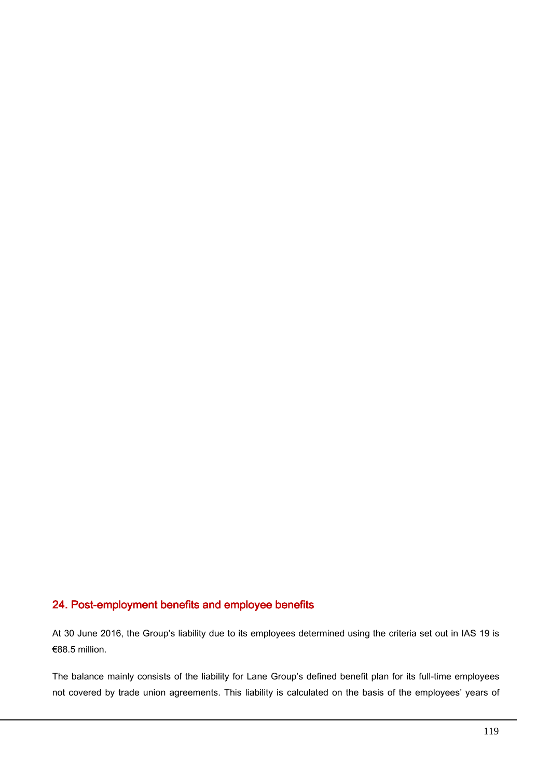## 24. Post-employment benefits and employee benefits

At 30 June 2016, the Group's liability due to its employees determined using the criteria set out in IAS 19 is €88.5 million.

The balance mainly consists of the liability for Lane Group's defined benefit plan for its full-time employees not covered by trade union agreements. This liability is calculated on the basis of the employees' years of